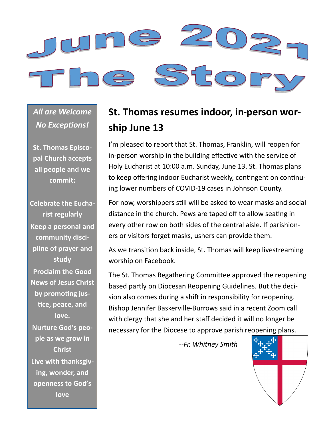

*All are Welcome No Exceptions!*

**St. Thomas Episcopal Church accepts all people and we commit:**

**Celebrate the Eucharist regularly Keep a personal and community discipline of prayer and study Proclaim the Good News of Jesus Christ by promoting justice, peace, and love. Nurture God's people as we grow in Christ Live with thanksgiving, wonder, and openness to God's love**

## **St. Thomas resumes indoor, in-person worship June 13**

I'm pleased to report that St. Thomas, Franklin, will reopen for in-person worship in the building effective with the service of Holy Eucharist at 10:00 a.m. Sunday, June 13. St. Thomas plans to keep offering indoor Eucharist weekly, contingent on continuing lower numbers of COVID-19 cases in Johnson County.

For now, worshippers still will be asked to wear masks and social distance in the church. Pews are taped off to allow seating in every other row on both sides of the central aisle. If parishioners or visitors forget masks, ushers can provide them.

As we transition back inside, St. Thomas will keep livestreaming worship on Facebook.

The St. Thomas Regathering Committee approved the reopening based partly on Diocesan Reopening Guidelines. But the decision also comes during a shift in responsibility for reopening. Bishop Jennifer Baskerville-Burrows said in a recent Zoom call with clergy that she and her staff decided it will no longer be necessary for the Diocese to approve parish reopening plans.

*--Fr. Whitney Smith*

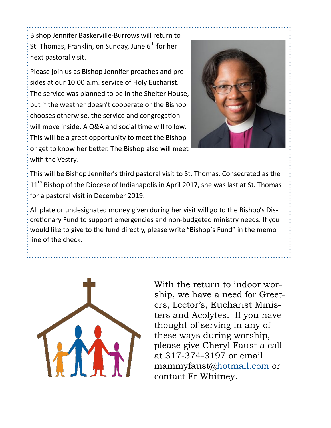Bishop Jennifer Baskerville-Burrows will return to St. Thomas, Franklin, on Sunday, June  $6<sup>th</sup>$  for her next pastoral visit.

Please join us as Bishop Jennifer preaches and presides at our 10:00 a.m. service of Holy Eucharist. The service was planned to be in the Shelter House, but if the weather doesn't cooperate or the Bishop chooses otherwise, the service and congregation will move inside. A Q&A and social time will follow. This will be a great opportunity to meet the Bishop or get to know her better. The Bishop also will meet with the Vestry.



This will be Bishop Jennifer's third pastoral visit to St. Thomas. Consecrated as the 11<sup>th</sup> Bishop of the Diocese of Indianapolis in April 2017, she was last at St. Thomas for a pastoral visit in December 2019.

All plate or undesignated money given during her visit will go to the Bishop's Discretionary Fund to support emergencies and non-budgeted ministry needs. If you would like to give to the fund directly, please write "Bishop's Fund" in the memo line of the check.



With the return to indoor worship, we have a need for Greeters, Lector's, Eucharist Ministers and Acolytes. If you have thought of serving in any of these ways during worship, please give Cheryl Faust a call at 317-374-3197 or email mammyfaust@[hotmail.com](https://na01.safelinks.protection.outlook.com/?url=http%3A%2F%2Fhotmail.com%2F&data=04%7C01%7C%7Cb46c69a460ad4f24595108d91faf41af%7C84df9e7fe9f640afb435aaaaaaaaaaaa%7C1%7C0%7C637575659845180763%7CUnknown%7CTWFpbGZsb3d8eyJWIjoiMC4wLjAwMDAiLCJQIjoiV2luMzIiLCJBT) or contact Fr Whitney.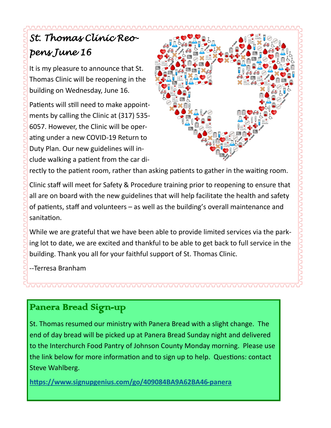# *St. Thomas Clinic Reopens June 16*

It is my pleasure to announce that St. Thomas Clinic will be reopening in the building on Wednesday, June 16.

Patients will still need to make appointments by calling the Clinic at (317) 535- 6057. However, the Clinic will be operating under a new COVID-19 Return to Duty Plan. Our new guidelines will include walking a patient from the car di-



rectly to the patient room, rather than asking patients to gather in the waiting room.

Clinic staff will meet for Safety & Procedure training prior to reopening to ensure that all are on board with the new guidelines that will help facilitate the health and safety of patients, staff and volunteers – as well as the building's overall maintenance and sanitation.

While we are grateful that we have been able to provide limited services via the parking lot to date, we are excited and thankful to be able to get back to full service in the building. Thank you all for your faithful support of St. Thomas Clinic.

--Terresa Branham

## Panera Bread Sign-up

St. Thomas resumed our ministry with Panera Bread with a slight change. The end of day bread will be picked up at Panera Bread Sunday night and delivered to the Interchurch Food Pantry of Johnson County Monday morning. Please use the link below for more information and to sign up to help. Questions: contact Steve Wahlberg.

**[https://www.signupgenius.com/go/409084BA9A62BA46](https://www.signupgenius.com/go/409084BA9A62BA46-panera)-panera**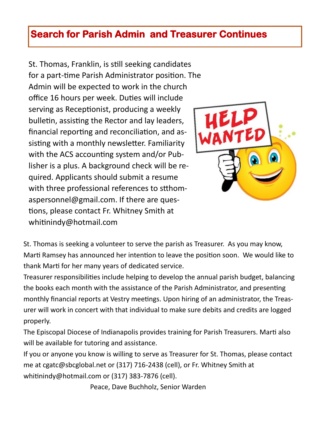## **Search for Parish Admin and Treasurer Continues**

St. Thomas, Franklin, is still seeking candidates for a part-time Parish Administrator position. The Admin will be expected to work in the church office 16 hours per week. Duties will include serving as Receptionist, producing a weekly bulletin, assisting the Rector and lay leaders, financial reporting and reconciliation, and assisting with a monthly newsletter. Familiarity with the ACS accounting system and/or Publisher is a plus. A background check will be required. Applicants should submit a resume with three professional references to stthomaspersonnel@gmail.com. If there are questions, please contact Fr. Whitney Smith at whitinindy@hotmail.com



St. Thomas is seeking a volunteer to serve the parish as Treasurer. As you may know, Marti Ramsey has announced her intention to leave the position soon. We would like to thank Marti for her many years of dedicated service.

Treasurer responsibilities include helping to develop the annual parish budget, balancing the books each month with the assistance of the Parish Administrator, and presenting monthly financial reports at Vestry meetings. Upon hiring of an administrator, the Treasurer will work in concert with that individual to make sure debits and credits are logged properly.

The Episcopal Diocese of Indianapolis provides training for Parish Treasurers. Marti also will be available for tutoring and assistance.

If you or anyone you know is willing to serve as Treasurer for St. Thomas, please contact me at cgatc@sbcglobal.net or (317) 716-2438 (cell), or Fr. Whitney Smith at whitinindy@hotmail.com or (317) 383-7876 (cell).

Peace, Dave Buchholz, Senior Warden